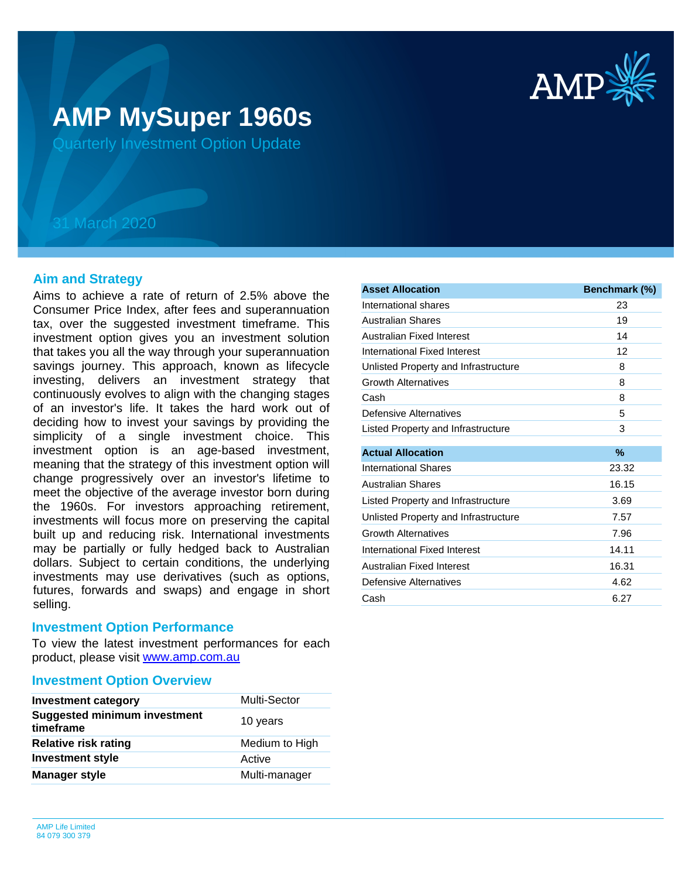

# **AMP MySuper 1960s**

Quarterly Investment Option Update

## 31 March 2020

## **Aim and Strategy**

Aims to achieve a rate of return of 2.5% above the Consumer Price Index, after fees and superannuation tax, over the suggested investment timeframe. This investment option gives you an investment solution that takes you all the way through your superannuation savings journey. This approach, known as lifecycle investing, delivers an investment strategy that continuously evolves to align with the changing stages of an investor's life. It takes the hard work out of deciding how to invest your savings by providing the simplicity of a single investment choice. This investment option is an age-based investment, meaning that the strategy of this investment option will change progressively over an investor's lifetime to meet the objective of the average investor born during the 1960s. For investors approaching retirement, investments will focus more on preserving the capital built up and reducing risk. International investments may be partially or fully hedged back to Australian dollars. Subject to certain conditions, the underlying investments may use derivatives (such as options, futures, forwards and swaps) and engage in short selling.

### **Investment Option Performance**

product, please visit [www.amp.com.au](https://www.amp.com.au) To view the latest investment performances for each

### **Investment Option Overview**

| <b>Investment category</b>                       | <b>Multi-Sector</b> |
|--------------------------------------------------|---------------------|
| <b>Suggested minimum investment</b><br>timeframe | 10 years            |
| <b>Relative risk rating</b>                      | Medium to High      |
| <b>Investment style</b>                          | Active              |
| <b>Manager style</b>                             | Multi-manager       |

| International shares<br><b>Australian Shares</b><br>Australian Fixed Interest<br>International Fixed Interest<br>Unlisted Property and Infrastructure<br><b>Growth Alternatives</b><br>Cash<br>Defensive Alternatives<br>Listed Property and Infrastructure<br><b>Actual Allocation</b><br><b>International Shares</b><br><b>Australian Shares</b><br>Listed Property and Infrastructure | 23<br>19<br>14<br>12<br>8<br>8<br>8 |
|------------------------------------------------------------------------------------------------------------------------------------------------------------------------------------------------------------------------------------------------------------------------------------------------------------------------------------------------------------------------------------------|-------------------------------------|
|                                                                                                                                                                                                                                                                                                                                                                                          |                                     |
|                                                                                                                                                                                                                                                                                                                                                                                          |                                     |
|                                                                                                                                                                                                                                                                                                                                                                                          |                                     |
|                                                                                                                                                                                                                                                                                                                                                                                          |                                     |
|                                                                                                                                                                                                                                                                                                                                                                                          |                                     |
|                                                                                                                                                                                                                                                                                                                                                                                          |                                     |
|                                                                                                                                                                                                                                                                                                                                                                                          |                                     |
|                                                                                                                                                                                                                                                                                                                                                                                          | 5                                   |
|                                                                                                                                                                                                                                                                                                                                                                                          | 3                                   |
|                                                                                                                                                                                                                                                                                                                                                                                          | %                                   |
|                                                                                                                                                                                                                                                                                                                                                                                          | 23.32                               |
|                                                                                                                                                                                                                                                                                                                                                                                          | 16.15                               |
|                                                                                                                                                                                                                                                                                                                                                                                          | 3.69                                |
| Unlisted Property and Infrastructure                                                                                                                                                                                                                                                                                                                                                     | 7.57                                |
| <b>Growth Alternatives</b>                                                                                                                                                                                                                                                                                                                                                               | 7.96                                |
| International Fixed Interest                                                                                                                                                                                                                                                                                                                                                             | 14.11                               |
| Australian Fixed Interest                                                                                                                                                                                                                                                                                                                                                                | 16.31                               |
| Defensive Alternatives                                                                                                                                                                                                                                                                                                                                                                   |                                     |
| 6.27<br>Cash                                                                                                                                                                                                                                                                                                                                                                             | 4.62                                |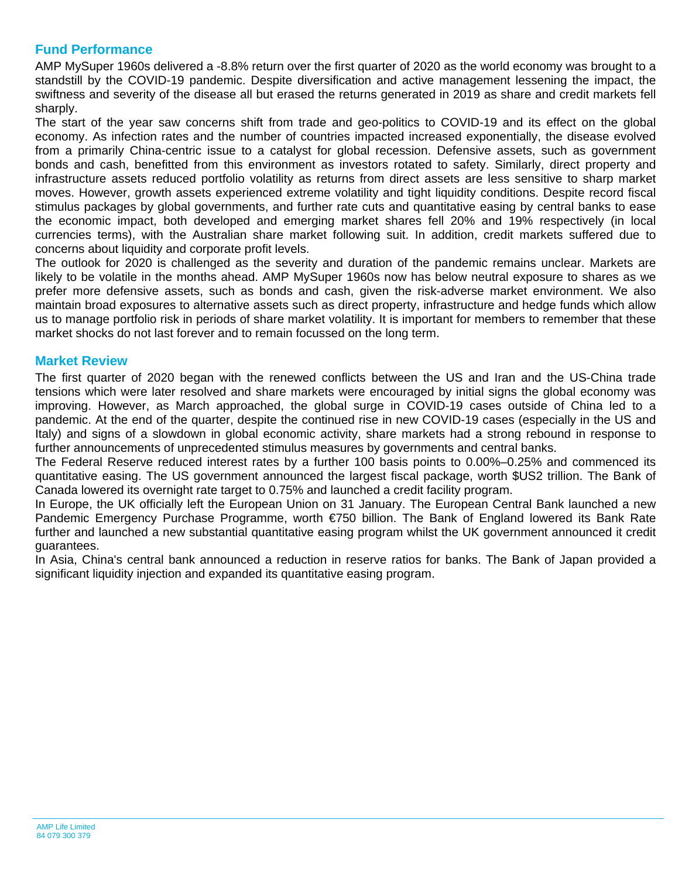## **Fund Performance**

AMP MySuper 1960s delivered a -8.8% return over the first quarter of 2020 as the world economy was brought to a standstill by the COVID-19 pandemic. Despite diversification and active management lessening the impact, the swiftness and severity of the disease all but erased the returns generated in 2019 as share and credit markets fell sharply.

The start of the year saw concerns shift from trade and geo-politics to COVID-19 and its effect on the global economy. As infection rates and the number of countries impacted increased exponentially, the disease evolved from a primarily China-centric issue to a catalyst for global recession. Defensive assets, such as government bonds and cash, benefitted from this environment as investors rotated to safety. Similarly, direct property and infrastructure assets reduced portfolio volatility as returns from direct assets are less sensitive to sharp market moves. However, growth assets experienced extreme volatility and tight liquidity conditions. Despite record fiscal stimulus packages by global governments, and further rate cuts and quantitative easing by central banks to ease the economic impact, both developed and emerging market shares fell 20% and 19% respectively (in local currencies terms), with the Australian share market following suit. In addition, credit markets suffered due to concerns about liquidity and corporate profit levels.

The outlook for 2020 is challenged as the severity and duration of the pandemic remains unclear. Markets are likely to be volatile in the months ahead. AMP MySuper 1960s now has below neutral exposure to shares as we prefer more defensive assets, such as bonds and cash, given the risk-adverse market environment. We also maintain broad exposures to alternative assets such as direct property, infrastructure and hedge funds which allow us to manage portfolio risk in periods of share market volatility. It is important for members to remember that these market shocks do not last forever and to remain focussed on the long term.

## **Market Review**

The first quarter of 2020 began with the renewed conflicts between the US and Iran and the US-China trade tensions which were later resolved and share markets were encouraged by initial signs the global economy was improving. However, as March approached, the global surge in COVID-19 cases outside of China led to a pandemic. At the end of the quarter, despite the continued rise in new COVID-19 cases (especially in the US and Italy) and signs of a slowdown in global economic activity, share markets had a strong rebound in response to further announcements of unprecedented stimulus measures by governments and central banks.

The Federal Reserve reduced interest rates by a further 100 basis points to 0.00%–0.25% and commenced its quantitative easing. The US government announced the largest fiscal package, worth \$US2 trillion. The Bank of Canada lowered its overnight rate target to 0.75% and launched a credit facility program.

In Europe, the UK officially left the European Union on 31 January. The European Central Bank launched a new Pandemic Emergency Purchase Programme, worth €750 billion. The Bank of England lowered its Bank Rate further and launched a new substantial quantitative easing program whilst the UK government announced it credit guarantees.

In Asia, China's central bank announced a reduction in reserve ratios for banks. The Bank of Japan provided a significant liquidity injection and expanded its quantitative easing program.